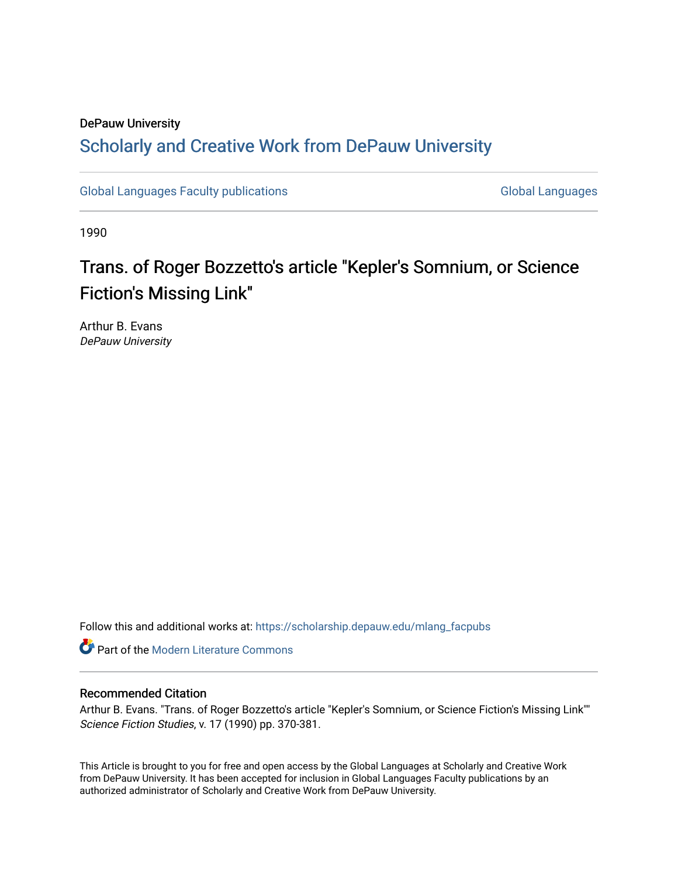# DePauw University Scholarly and [Creative Work from DePauw Univ](https://scholarship.depauw.edu/)ersity

[Global Languages Faculty publications](https://scholarship.depauw.edu/mlang_facpubs) [Global Languages](https://scholarship.depauw.edu/modernlanguages) Global Languages

1990

# Trans. of Roger Bozzetto's article "Kepler's Somnium, or Science Fiction's Missing Link"

Arthur B. Evans DePauw University

Follow this and additional works at: [https://scholarship.depauw.edu/mlang\\_facpubs](https://scholarship.depauw.edu/mlang_facpubs?utm_source=scholarship.depauw.edu%2Fmlang_facpubs%2F18&utm_medium=PDF&utm_campaign=PDFCoverPages)

**Part of the Modern Literature Commons** 

# Recommended Citation

Arthur B. Evans. "Trans. of Roger Bozzetto's article "Kepler's Somnium, or Science Fiction's Missing Link"" Science Fiction Studies, v. 17 (1990) pp. 370-381.

This Article is brought to you for free and open access by the Global Languages at Scholarly and Creative Work from DePauw University. It has been accepted for inclusion in Global Languages Faculty publications by an authorized administrator of Scholarly and Creative Work from DePauw University.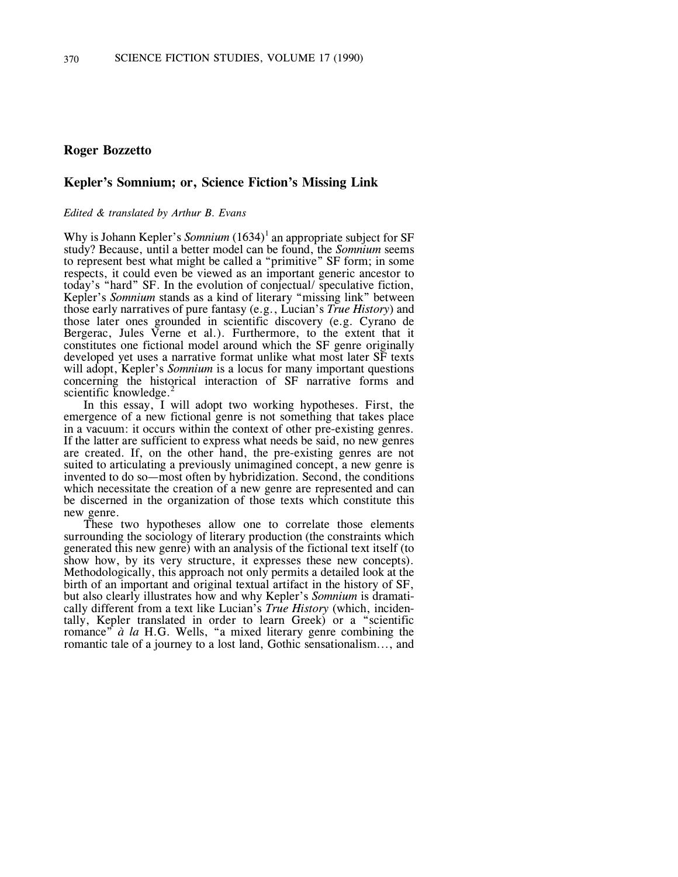# **Roger Bozzetto**

## **Kepler's Somnium; or, Science Fiction's Missing Link**

#### *Edited & translated by Arthur B. Evans*

Why is Johann Kepler's *Somnium* (1634)<sup>1</sup> an appropriate subject for SF study? Because, until a better model can be found, the *Somnium* seems to represent best what might be called a "primitive" SF form; in some respects, it could even be viewed as an important generic ancestor to today's "hard" SF. In the evolution of conjectual/ speculative fiction, Kepler's *Somnium* stands as a kind of literary "missing link" between those early narratives of pure fantasy (e.g., Lucian's *True History*) and those later ones grounded in scientific discovery (e.g. Cyrano de Bergerac, Jules Verne et al.). Furthermore, to the extent that it constitutes one fictional model around which the SF genre originally developed yet uses a narrative format unlike what most later SF texts will adopt, Kepler's *Somnium* is a locus for many important questions concerning the historical interaction of SF narrative forms and scientific knowledge. $^{2}$ 

In this essay, I will adopt two working hypotheses. First, the emergence of a new fictional genre is not something that takes place in a vacuum: it occurs within the context of other pre-existing genres. If the latter are sufficient to express what needs be said, no new genres are created. If, on the other hand, the pre-existing genres are not suited to articulating a previously unimagined concept, a new genre is invented to do so—most often by hybridization. Second, the conditions which necessitate the creation of a new genre are represented and can be discerned in the organization of those texts which constitute this new genre.

These two hypotheses allow one to correlate those elements surrounding the sociology of literary production (the constraints which generated this new genre) with an analysis of the fictional text itself (to show how, by its very structure, it expresses these new concepts). Methodologically, this approach not only permits a detailed look at the birth of an important and original textual artifact in the history of SF, but also clearly illustrates how and why Kepler's *Somnium* is dramatically different from a text like Lucian's *True History* (which, incidentally, Kepler translated in order to learn Greek) or a "scientific romance" *à la* H.G. Wells, "a mixed literary genre combining the romantic tale of a journey to a lost land, Gothic sensationalism..., and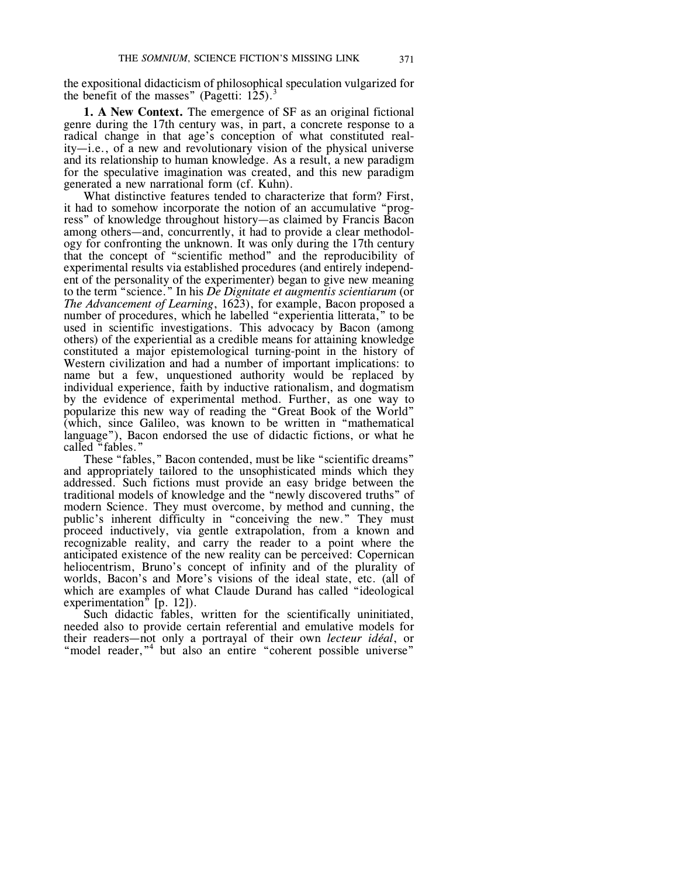the expositional didacticism of philosophical speculation vulgarized for the benefit of the masses" (Pagetti:  $125$ ).<sup>3</sup>

**1. A New Context.** The emergence of SF as an original fictional genre during the 17th century was, in part, a concrete response to a radical change in that age's conception of what constituted reality—i.e., of a new and revolutionary vision of the physical universe and its relationship to human knowledge. As a result, a new paradigm for the speculative imagination was created, and this new paradigm generated a new narrational form (cf. Kuhn).

What distinctive features tended to characterize that form? First, it had to somehow incorporate the notion of an accumulative "progress" of knowledge throughout history—as claimed by Francis Bacon among others—and, concurrently, it had to provide a clear methodology for confronting the unknown. It was only during the 17th century that the concept of "scientific method" and the reproducibility of experimental results via established procedures (and entirely independent of the personality of the experimenter) began to give new meaning to the term "science." In his *De Dignitate et augmentis scientiarum* (or *The Advancement of Learning*, 1623), for example, Bacon proposed a number of procedures, which he labelled "experientia litterata," to be used in scientific investigations. This advocacy by Bacon (among others) of the experiential as a credible means for attaining knowledge constituted a major epistemological turning-point in the history of Western civilization and had a number of important implications: to name but a few, unquestioned authority would be replaced by individual experience, faith by inductive rationalism, and dogmatism by the evidence of experimental method. Further, as one way to popularize this new way of reading the "Great Book of the World" (which, since Galileo, was known to be written in "mathematical language"), Bacon endorsed the use of didactic fictions, or what he called "fables."

These "fables," Bacon contended, must be like "scientific dreams" and appropriately tailored to the unsophisticated minds which they addressed. Such fictions must provide an easy bridge between the traditional models of knowledge and the "newly discovered truths" of modern Science. They must overcome, by method and cunning, the public's inherent difficulty in "conceiving the new." They must proceed inductively, via gentle extrapolation, from a known and recognizable reality, and carry the reader to a point where the anticipated existence of the new reality can be perceived: Copernican heliocentrism, Bruno's concept of infinity and of the plurality of worlds, Bacon's and More's visions of the ideal state, etc. (all of which are examples of what Claude Durand has called "ideological experimentation<sup> $\bar{v}$ </sup> [p. 12]).

Such didactic fables, written for the scientifically uninitiated, needed also to provide certain referential and emulative models for their readers—not only a portrayal of their own *lecteur idéal*, or "model reader,"<sup>4</sup> but also an entire "coherent possible universe"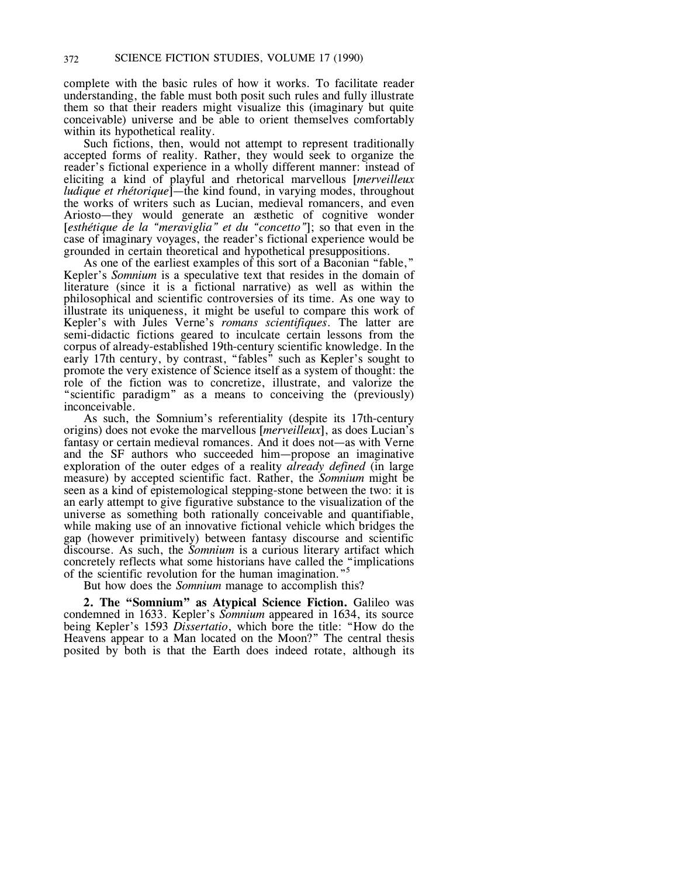complete with the basic rules of how it works. To facilitate reader understanding, the fable must both posit such rules and fully illustrate them so that their readers might visualize this (imaginary but quite conceivable) universe and be able to orient themselves comfortably within its hypothetical reality.

Such fictions, then, would not attempt to represent traditionally accepted forms of reality. Rather, they would seek to organize the reader's fictional experience in a wholly different manner: instead of eliciting a kind of playful and rhetorical marvellous [*merveilleux ludique et rhétorique*]—the kind found, in varying modes, throughout the works of writers such as Lucian, medieval romancers, and even Ariosto—they would generate an æsthetic of cognitive wonder [*esthétique de la "meraviglia" et du "concetto"*]; so that even in the case of imaginary voyages, the reader's fictional experience would be grounded in certain theoretical and hypothetical presuppositions.

As one of the earliest examples of this sort of a Baconian "fable," Kepler's *Somnium* is a speculative text that resides in the domain of literature (since it is a fictional narrative) as well as within the philosophical and scientific controversies of its time. As one way to illustrate its uniqueness, it might be useful to compare this work of Kepler's with Jules Verne's *romans scientifiques*. The latter are semi-didactic fictions geared to inculcate certain lessons from the corpus of already-established 19th-century scientific knowledge. In the early 17th century, by contrast, "fables" such as Kepler's sought to promote the very existence of Science itself as a system of thought: the role of the fiction was to concretize, illustrate, and valorize the "scientific paradigm" as a means to conceiving the (previously) inconceivable.

As such, the Somnium's referentiality (despite its 17th-century origins) does not evoke the marvellous [*merveilleux*], as does Lucian's fantasy or certain medieval romances. And it does not—as with Verne and the SF authors who succeeded him—propose an imaginative exploration of the outer edges of a reality *already defined* (in large measure) by accepted scientific fact. Rather, the *Somnium* might be seen as a kind of epistemological stepping-stone between the two: it is an early attempt to give figurative substance to the visualization of the universe as something both rationally conceivable and quantifiable, while making use of an innovative fictional vehicle which bridges the gap (however primitively) between fantasy discourse and scientific discourse. As such, the *Somnium* is a curious literary artifact which concretely reflects what some historians have called the "implications"<br>of the scientific revolution for the human imagination." of the scientific revolution for the human imagination."

But how does the *Somnium* manage to accomplish this?

**2. The "Somnium" as Atypical Science Fiction.** Galileo was condemned in 1633. Kepler's *Somnium* appeared in 1634, its source being Kepler's 1593 *Dissertatio*, which bore the title: "How do the Heavens appear to a Man located on the Moon?" The central thesis posited by both is that the Earth does indeed rotate, although its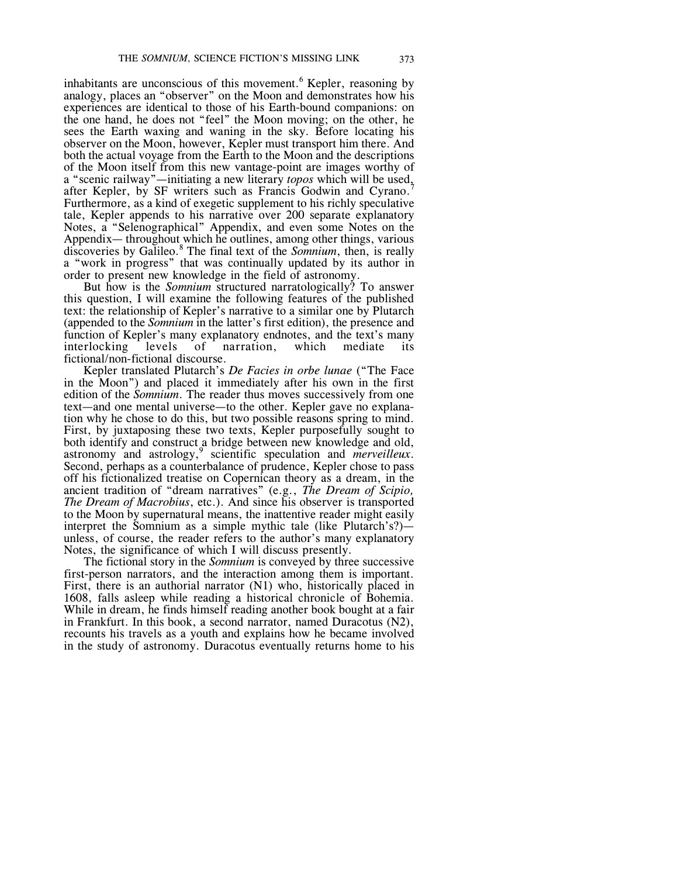inhabitants are unconscious of this movement. <sup>6</sup> Kepler, reasoning by analogy, places an "observer" on the Moon and demonstrates how his experiences are identical to those of his Earth-bound companions: on the one hand, he does not "feel" the Moon moving; on the other, he sees the Earth waxing and waning in the sky. Before locating his observer on the Moon, however, Kepler must transport him there. And both the actual voyage from the Earth to the Moon and the descriptions of the Moon itself from this new vantage-point are images worthy of a "scenic railway"—initiating a new literary *topos* which will be used, after Kepler, by SF writers such as Francis Godwin and Cyrano.<sup>7</sup> Furthermore, as a kind of exegetic supplement to his richly speculative tale, Kepler appends to his narrative over 200 separate explanatory Notes, a "Selenographical" Appendix, and even some Notes on the Appendix— throughout which he outlines, among other things, various discoveries by Galileo.<sup>8</sup> The final text of the *Somnium*, then, is really a "work in progress" that was continually updated by its author in order to present new knowledge in the field of astronomy.

But how is the *Somnium* structured narratologically? To answer this question, I will examine the following features of the published text: the relationship of Kepler's narrative to a similar one by Plutarch (appended to the *Somnium* in the latter's first edition), the presence and function of Kepler's many explanatory endnotes, and the text's many interlocking levels of narration, which mediate its interlocking levels of narration, which mediate its fictional/non-fictional discourse.

Kepler translated Plutarch's *De Facies in orbe lunae* ("The Face in the Moon") and placed it immediately after his own in the first edition of the *Somnium*. The reader thus moves successively from one text—and one mental universe—to the other. Kepler gave no explanation why he chose to do this, but two possible reasons spring to mind. First, by juxtaposing these two texts, Kepler purposefully sought to both identify and construct a bridge between new knowledge and old, astronomy and astrology,<sup>9</sup> scientific speculation and *merveilleux*. Second, perhaps as a counterbalance of prudence, Kepler chose to pass off his fictionalized treatise on Copernican theory as a dream, in the ancient tradition of "dream narratives" (e.g., *The Dream of Scipio, The Dream of Macrobius*, etc.). And since his observer is transported to the Moon by supernatural means, the inattentive reader might easily interpret the Somnium as a simple mythic tale (like Plutarch's?) unless, of course, the reader refers to the author's many explanatory Notes, the significance of which I will discuss presently.

The fictional story in the *Somnium* is conveyed by three successive first-person narrators, and the interaction among them is important. First, there is an authorial narrator (N1) who, historically placed in 1608, falls asleep while reading a historical chronicle of Bohemia. While in dream, he finds himself reading another book bought at a fair in Frankfurt. In this book, a second narrator, named Duracotus (N2), recounts his travels as a youth and explains how he became involved in the study of astronomy. Duracotus eventually returns home to his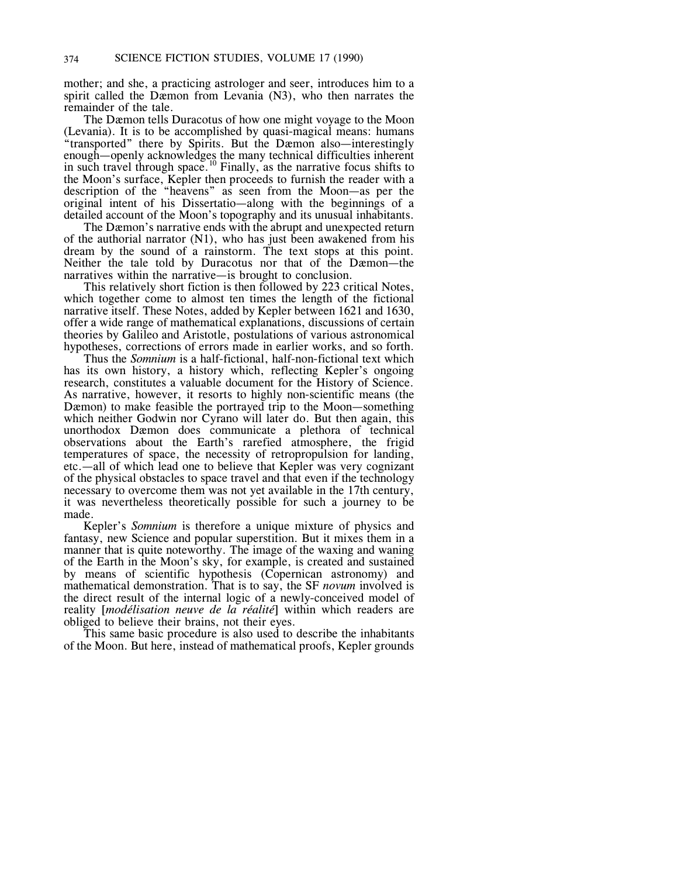mother; and she, a practicing astrologer and seer, introduces him to a spirit called the Dæmon from Levania (N3), who then narrates the remainder of the tale.

The Dæmon tells Duracotus of how one might voyage to the Moon (Levania). It is to be accomplished by quasi-magical means: humans "transported" there by Spirits. But the Dæmon also—interestingly enough—openly acknowledges the many technical difficulties inherent in such travel through space.<sup>10</sup> Finally, as the narrative focus shifts to the Moon's surface, Kepler then proceeds to furnish the reader with a description of the "heavens" as seen from the Moon—as per the original intent of his Dissertatio—along with the beginnings of a detailed account of the Moon's topography and its unusual inhabitants.

The Dæmon's narrative ends with the abrupt and unexpected return of the authorial narrator (N1), who has just been awakened from his dream by the sound of a rainstorm. The text stops at this point. Neither the tale told by Duracotus nor that of the Dæmon—the narratives within the narrative—is brought to conclusion.

This relatively short fiction is then followed by 223 critical Notes, which together come to almost ten times the length of the fictional narrative itself. These Notes, added by Kepler between 1621 and 1630, offer a wide range of mathematical explanations, discussions of certain theories by Galileo and Aristotle, postulations of various astronomical hypotheses, corrections of errors made in earlier works, and so forth.

Thus the *Somnium* is a half-fictional, half-non-fictional text which has its own history, a history which, reflecting Kepler's ongoing research, constitutes a valuable document for the History of Science. As narrative, however, it resorts to highly non-scientific means (the Dæmon) to make feasible the portrayed trip to the Moon—something which neither Godwin nor Cyrano will later do. But then again, this unorthodox Dæmon does communicate a plethora of technical observations about the Earth's rarefied atmosphere, the frigid temperatures of space, the necessity of retropropulsion for landing, etc.—all of which lead one to believe that Kepler was very cognizant of the physical obstacles to space travel and that even if the technology necessary to overcome them was not yet available in the 17th century, it was nevertheless theoretically possible for such a journey to be made.

Kepler's *Somnium* is therefore a unique mixture of physics and fantasy, new Science and popular superstition. But it mixes them in a manner that is quite noteworthy. The image of the waxing and waning of the Earth in the Moon's sky, for example, is created and sustained by means of scientific hypothesis (Copernican astronomy) and mathematical demonstration. That is to say, the SF *novum* involved is the direct result of the internal logic of a newly-conceived model of reality [*modélisation neuve de la réalité*] within which readers are obliged to believe their brains, not their eyes.

This same basic procedure is also used to describe the inhabitants of the Moon. But here, instead of mathematical proofs, Kepler grounds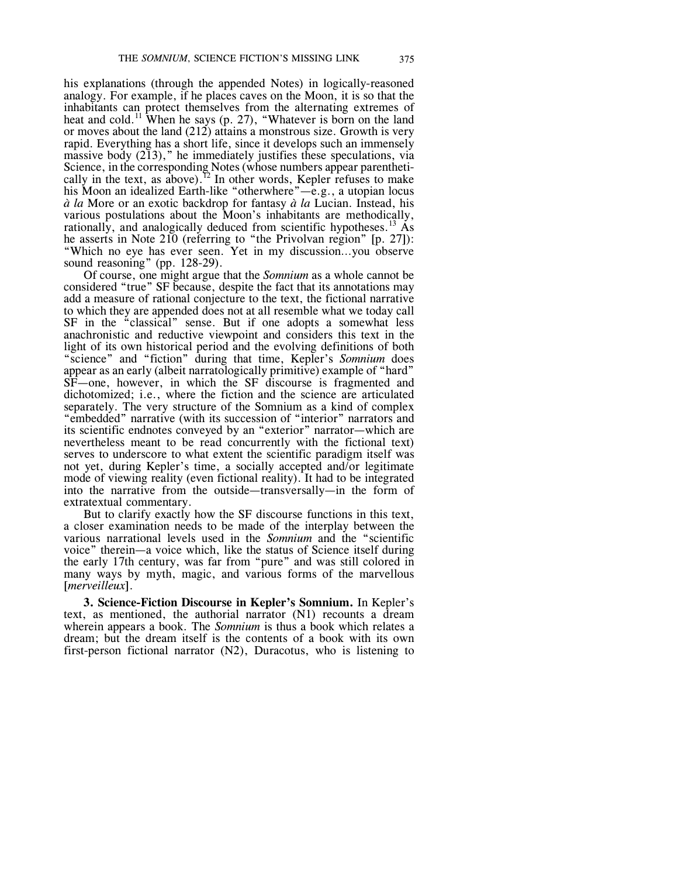his explanations (through the appended Notes) in logically-reasoned analogy. For example, if he places caves on the Moon, it is so that the inhabitants can protect themselves from the alternating extremes of heat and cold.<sup>11</sup> When he says (p. 27), "Whatever is born on the land or moves about the land (212) attains a monstrous size. Growth is very rapid. Everything has a short life, since it develops such an immensely massive body  $(2\bar{1}3)$ ," he immediately justifies these speculations, via Science, in the corresponding Notes (whose numbers appear parenthetically in the text, as above).<sup>12</sup> In other words, Kepler refuses to make his Moon an idealized Earth-like "otherwhere"—e.g., a utopian locus *à la* More or an exotic backdrop for fantasy *à la* Lucian. Instead, his various postulations about the Moon's inhabitants are methodically, rationally, and analogically deduced from scientific hypotheses.<sup>13</sup> As he asserts in Note 210 (referring to "the Privolvan region" [p. 27]): "Which no eye has ever seen. Yet in my discussion…you observe sound reasoning" (pp. 128-29).

Of course, one might argue that the *Somnium* as a whole cannot be considered "true" SF because, despite the fact that its annotations may add a measure of rational conjecture to the text, the fictional narrative to which they are appended does not at all resemble what we today call SF in the "classical" sense. But if one adopts a somewhat less anachronistic and reductive viewpoint and considers this text in the light of its own historical period and the evolving definitions of both "science" and "fiction" during that time, Kepler's *Somnium* does appear as an early (albeit narratologically primitive) example of "hard" SF—one, however, in which the SF discourse is fragmented and dichotomized; i.e., where the fiction and the science are articulated separately. The very structure of the Somnium as a kind of complex "embedded" narrative (with its succession of "interior" narrators and its scientific endnotes conveyed by an "exterior" narrator—which are nevertheless meant to be read concurrently with the fictional text) serves to underscore to what extent the scientific paradigm itself was not yet, during Kepler's time, a socially accepted and/or legitimate mode of viewing reality (even fictional reality). It had to be integrated into the narrative from the outside—transversally—in the form of extratextual commentary.

But to clarify exactly how the SF discourse functions in this text, a closer examination needs to be made of the interplay between the various narrational levels used in the *Somnium* and the "scientific voice" therein—a voice which, like the status of Science itself during the early 17th century, was far from "pure" and was still colored in many ways by myth, magic, and various forms of the marvellous [*merveilleux*].

**3. Science-Fiction Discourse in Kepler's Somnium.** In Kepler's text, as mentioned, the authorial narrator (N1) recounts a dream wherein appears a book. The *Somnium* is thus a book which relates a dream; but the dream itself is the contents of a book with its own first-person fictional narrator (N2), Duracotus, who is listening to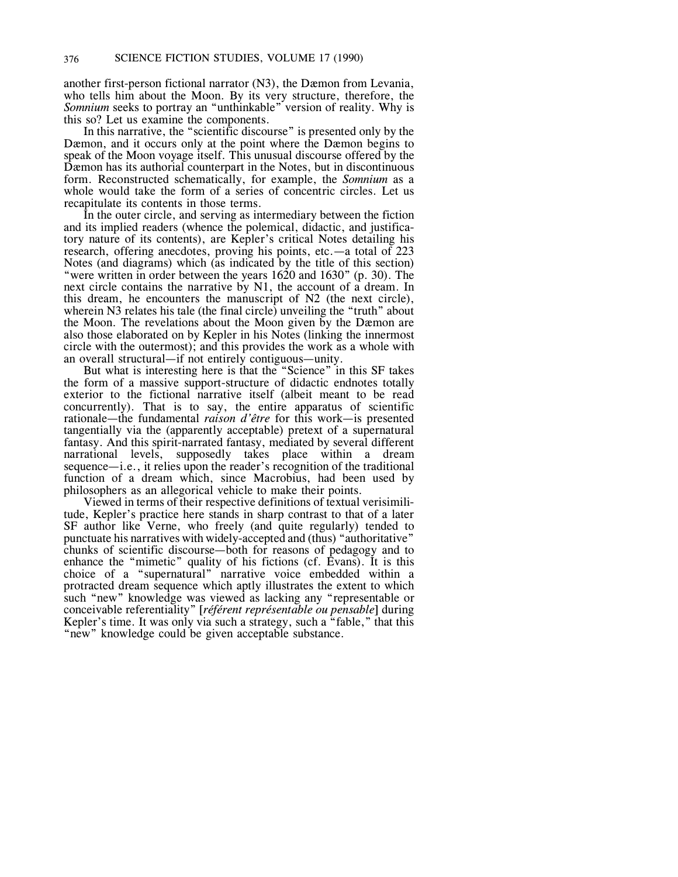another first-person fictional narrator (N3), the Dæmon from Levania, who tells him about the Moon. By its very structure, therefore, the *Somnium* seeks to portray an "unthinkable" version of reality. Why is this so? Let us examine the components.

In this narrative, the "scientific discourse" is presented only by the Dæmon, and it occurs only at the point where the Dæmon begins to speak of the Moon voyage itself. This unusual discourse offered by the Dæmon has its authorial counterpart in the Notes, but in discontinuous form. Reconstructed schematically, for example, the *Somnium* as a whole would take the form of a series of concentric circles. Let us recapitulate its contents in those terms.

In the outer circle, and serving as intermediary between the fiction and its implied readers (whence the polemical, didactic, and justificatory nature of its contents), are Kepler's critical Notes detailing his research, offering anecdotes, proving his points, etc.—a total of 223 Notes (and diagrams) which (as indicated by the title of this section) "were written in order between the years 1620 and 1630" (p. 30). The next circle contains the narrative by N1, the account of a dream. In this dream, he encounters the manuscript of N2 (the next circle), wherein N3 relates his tale (the final circle) unveiling the "truth" about the Moon. The revelations about the Moon given by the Dæmon are also those elaborated on by Kepler in his Notes (linking the innermost circle with the outermost); and this provides the work as a whole with an overall structural—if not entirely contiguous—unity.

But what is interesting here is that the "Science" in this SF takes the form of a massive support-structure of didactic endnotes totally exterior to the fictional narrative itself (albeit meant to be read concurrently). That is to say, the entire apparatus of scientific rationale—the fundamental *raison d'être* for this work—is presented tangentially via the (apparently acceptable) pretext of a supernatural fantasy. And this spirit-narrated fantasy, mediated by several different narrational levels, supposedly takes place within a dream sequence—i.e., it relies upon the reader's recognition of the traditional function of a dream which, since Macrobius, had been used by philosophers as an allegorical vehicle to make their points.

Viewed in terms of their respective definitions of textual verisimilitude, Kepler's practice here stands in sharp contrast to that of a later SF author like Verne, who freely (and quite regularly) tended to punctuate his narratives with widely-accepted and (thus) "authoritative" chunks of scientific discourse—both for reasons of pedagogy and to enhance the "mimetic" quality of his fictions (cf. Evans). It is this choice of a "supernatural" narrative voice embedded within a protracted dream sequence which aptly illustrates the extent to which such "new" knowledge was viewed as lacking any "representable or conceivable referentiality" [*référent représentable ou pensable*] during Kepler's time. It was only via such a strategy, such a "fable," that this "new" knowledge could be given acceptable substance.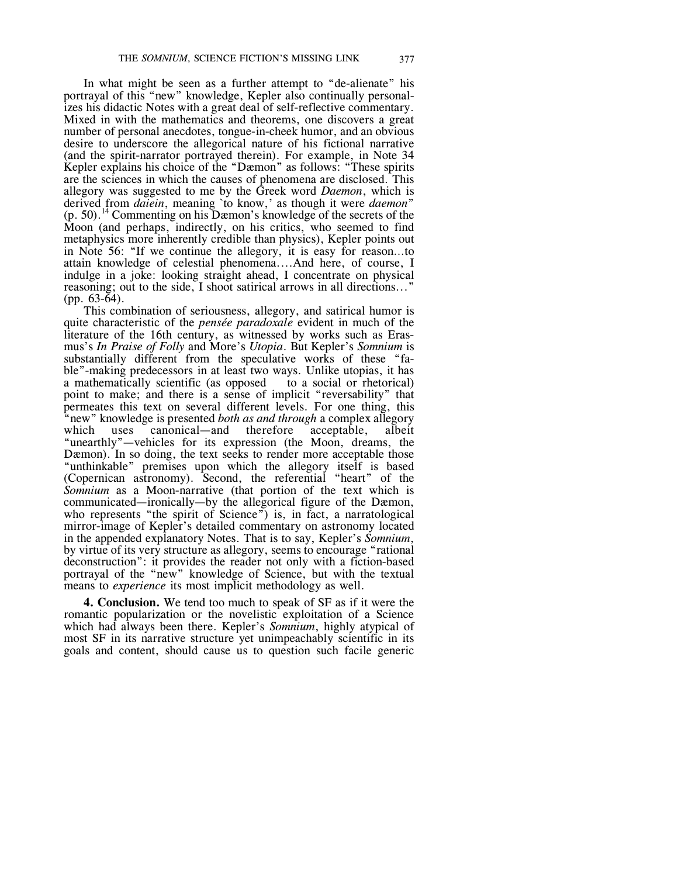In what might be seen as a further attempt to "de-alienate" his portrayal of this "new" knowledge, Kepler also continually personalizes his didactic Notes with a great deal of self-reflective commentary. Mixed in with the mathematics and theorems, one discovers a great number of personal anecdotes, tongue-in-cheek humor, and an obvious desire to underscore the allegorical nature of his fictional narrative (and the spirit-narrator portrayed therein). For example, in Note 34 Kepler explains his choice of the "Dæmon" as follows: "These spirits are the sciences in which the causes of phenomena are disclosed. This allegory was suggested to me by the Greek word *Daemon*, which is derived from *daiein*, meaning `to know,' as though it were *daemon*" (p. 50). <sup>14</sup> Commenting on his Dæmon's knowledge of the secrets of the Moon (and perhaps, indirectly, on his critics, who seemed to find metaphysics more inherently credible than physics), Kepler points out in Note 56: "If we continue the allegory, it is easy for reason…to attain knowledge of celestial phenomena....And here, of course, I indulge in a joke: looking straight ahead, I concentrate on physical reasoning; out to the side, I shoot satirical arrows in all directions..." (pp. 63-64).

This combination of seriousness, allegory, and satirical humor is quite characteristic of the *pensée paradoxale* evident in much of the literature of the 16th century, as witnessed by works such as Erasmus's *In Praise of Folly* and More's *Utopia*. But Kepler's *Somnium* is substantially different from the speculative works of these "fable"-making predecessors in at least two ways. Unlike utopias, it has a mathematically scientific (as opposed to a social or rhetorical) a mathematically scientific (as opposed point to make; and there is a sense of implicit "reversability" that permeates this text on several different levels. For one thing, this "new" knowledge is presented *both as and through* a complex allegory which uses canonical—and therefore acceptable, albeit canonical—and therefore acceptable, albeit "unearthly"—vehicles for its expression (the Moon, dreams, the Dæmon). In so doing, the text seeks to render more acceptable those "unthinkable" premises upon which the allegory itself is based (Copernican astronomy). Second, the referential "heart" of the *Somnium* as a Moon-narrative (that portion of the text which is communicated—ironically—by the allegorical figure of the Dæmon, who represents "the spirit of Science") is, in fact, a narratological mirror-image of Kepler's detailed commentary on astronomy located in the appended explanatory Notes. That is to say, Kepler's *Somnium*, by virtue of its very structure as allegory, seems to encourage "rational deconstruction": it provides the reader not only with a fiction-based portrayal of the "new" knowledge of Science, but with the textual means to *experience* its most implicit methodology as well.

**4. Conclusion.** We tend too much to speak of SF as if it were the romantic popularization or the novelistic exploitation of a Science which had always been there. Kepler's *Somnium*, highly atypical of most SF in its narrative structure yet unimpeachably scientific in its goals and content, should cause us to question such facile generic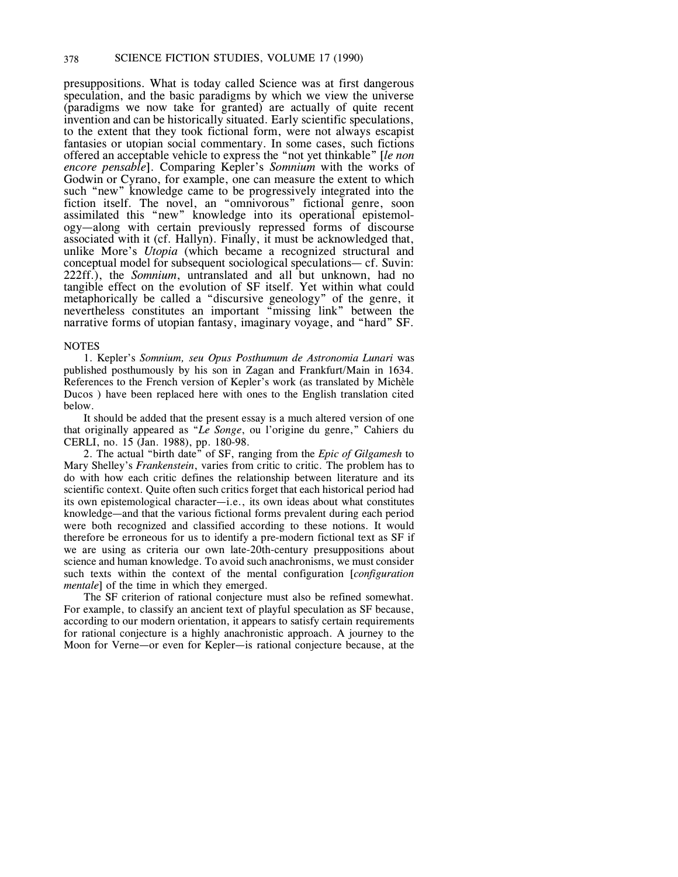presuppositions. What is today called Science was at first dangerous speculation, and the basic paradigms by which we view the universe (paradigms we now take for granted) are actually of quite recent invention and can be historically situated. Early scientific speculations, to the extent that they took fictional form, were not always escapist fantasies or utopian social commentary. In some cases, such fictions offered an acceptable vehicle to express the "not yet thinkable" [*le non encore pensable*]. Comparing Kepler's *Somnium* with the works of Godwin or Cyrano, for example, one can measure the extent to which such "new" knowledge came to be progressively integrated into the fiction itself. The novel, an "omnivorous" fictional genre, soon assimilated this "new" knowledge into its operational epistemology—along with certain previously repressed forms of discourse associated with it (cf. Hallyn). Finally, it must be acknowledged that, unlike More's *Utopia* (which became a recognized structural and conceptual model for subsequent sociological speculations— cf. Suvin: 222ff.), the *Somnium*, untranslated and all but unknown, had no tangible effect on the evolution of SF itself. Yet within what could metaphorically be called a "discursive geneology" of the genre, it nevertheless constitutes an important "missing link" between the narrative forms of utopian fantasy, imaginary voyage, and "hard" SF.

### NOTES

1. Kepler's *Somnium, seu Opus Posthumum de Astronomia Lunari* was published posthumously by his son in Zagan and Frankfurt/Main in 1634. References to the French version of Kepler's work (as translated by Michèle Ducos ) have been replaced here with ones to the English translation cited below.

It should be added that the present essay is a much altered version of one that originally appeared as "*Le Songe*, ou l'origine du genre," Cahiers du CERLI, no. 15 (Jan. 1988), pp. 180-98.

2. The actual "birth date" of SF, ranging from the *Epic of Gilgamesh* to Mary Shelley's *Frankenstein*, varies from critic to critic. The problem has to do with how each critic defines the relationship between literature and its scientific context. Quite often such critics forget that each historical period had its own epistemological character—i.e., its own ideas about what constitutes knowledge—and that the various fictional forms prevalent during each period were both recognized and classified according to these notions. It would therefore be erroneous for us to identify a pre-modern fictional text as SF if we are using as criteria our own late-20th-century presuppositions about science and human knowledge. To avoid such anachronisms, we must consider such texts within the context of the mental configuration [*configuration mentale*] of the time in which they emerged.

The SF criterion of rational conjecture must also be refined somewhat. For example, to classify an ancient text of playful speculation as SF because, according to our modern orientation, it appears to satisfy certain requirements for rational conjecture is a highly anachronistic approach. A journey to the Moon for Verne—or even for Kepler—is rational conjecture because, at the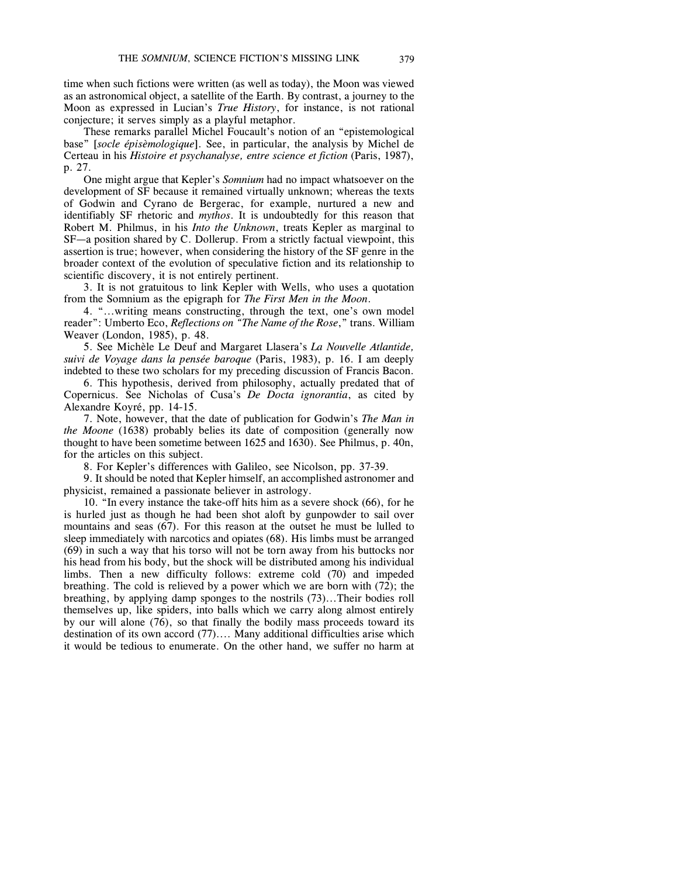time when such fictions were written (as well as today), the Moon was viewed as an astronomical object, a satellite of the Earth. By contrast, a journey to the Moon as expressed in Lucian's *True History*, for instance, is not rational conjecture; it serves simply as a playful metaphor.

These remarks parallel Michel Foucault's notion of an "epistemological base" [*socle épisèmologique*]. See, in particular, the analysis by Michel de Certeau in his *Histoire et psychanalyse, entre science et fiction* (Paris, 1987), p. 27.

One might argue that Kepler's *Somnium* had no impact whatsoever on the development of SF because it remained virtually unknown; whereas the texts of Godwin and Cyrano de Bergerac, for example, nurtured a new and identifiably SF rhetoric and *mythos*. It is undoubtedly for this reason that Robert M. Philmus, in his *Into the Unknown*, treats Kepler as marginal to SF—a position shared by C. Dollerup. From a strictly factual viewpoint, this assertion is true; however, when considering the history of the SF genre in the broader context of the evolution of speculative fiction and its relationship to scientific discovery, it is not entirely pertinent.

3. It is not gratuitous to link Kepler with Wells, who uses a quotation from the Somnium as the epigraph for *The First Men in the Moon*.

4. "...writing means constructing, through the text, one's own model reader": Umberto Eco, *Reflections on "The Name of the Rose*," trans. William Weaver (London, 1985), p. 48.

5. See Michèle Le Deuf and Margaret Llasera's *La Nouvelle Atlantide, suivi de Voyage dans la pensée baroque* (Paris, 1983), p. 16. I am deeply indebted to these two scholars for my preceding discussion of Francis Bacon.

6. This hypothesis, derived from philosophy, actually predated that of Copernicus. See Nicholas of Cusa's *De Docta ignorantia*, as cited by Alexandre Koyré, pp. 14-15.

7. Note, however, that the date of publication for Godwin's *The Man in the Moone* (1638) probably belies its date of composition (generally now thought to have been sometime between 1625 and 1630). See Philmus, p. 40n, for the articles on this subject.

8. For Kepler's differences with Galileo, see Nicolson, pp. 37-39.

9. It should be noted that Kepler himself, an accomplished astronomer and physicist, remained a passionate believer in astrology.

10. "In every instance the take-off hits him as a severe shock (66), for he is hurled just as though he had been shot aloft by gunpowder to sail over mountains and seas (67). For this reason at the outset he must be lulled to sleep immediately with narcotics and opiates (68). His limbs must be arranged (69) in such a way that his torso will not be torn away from his buttocks nor his head from his body, but the shock will be distributed among his individual limbs. Then a new difficulty follows: extreme cold (70) and impeded breathing. The cold is relieved by a power which we are born with (72); the breathing, by applying damp sponges to the nostrils (73)...Their bodies roll themselves up, like spiders, into balls which we carry along almost entirely by our will alone (76), so that finally the bodily mass proceeds toward its destination of its own accord (77).... Many additional difficulties arise which it would be tedious to enumerate. On the other hand, we suffer no harm at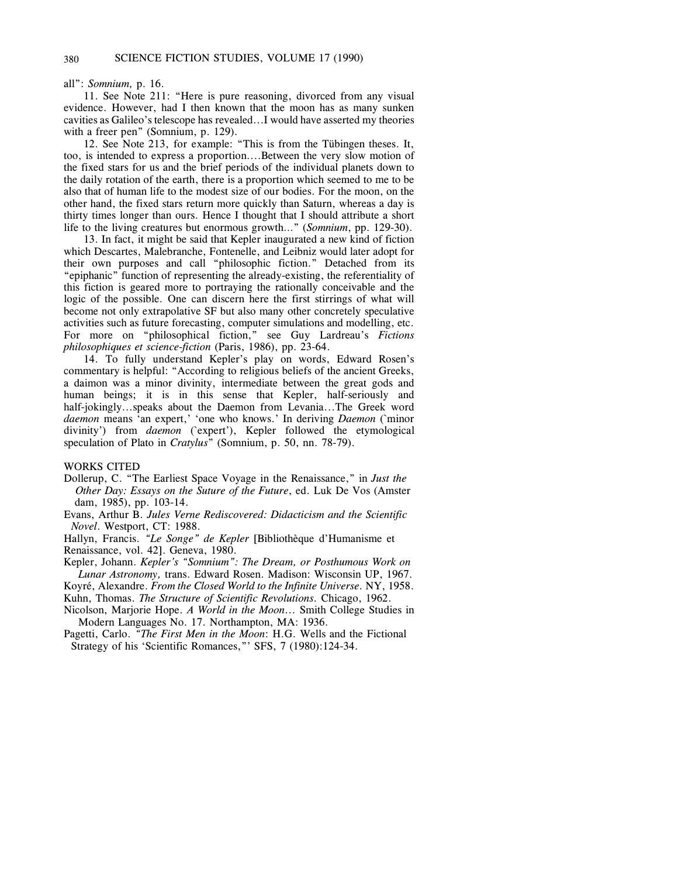all": *Somnium,* p. 16.

11. See Note 211: "Here is pure reasoning, divorced from any visual evidence. However, had I then known that the moon has as many sunken cavities as Galileo's telescope has revealed...I would have asserted my theories with a freer pen" (Somnium, p. 129).

12. See Note 213, for example: "This is from the Tübingen theses. It, too, is intended to express a proportion....Between the very slow motion of the fixed stars for us and the brief periods of the individual planets down to the daily rotation of the earth, there is a proportion which seemed to me to be also that of human life to the modest size of our bodies. For the moon, on the other hand, the fixed stars return more quickly than Saturn, whereas a day is thirty times longer than ours. Hence I thought that I should attribute a short life to the living creatures but enormous growth…" (*Somnium*, pp. 129-30).

13. In fact, it might be said that Kepler inaugurated a new kind of fiction which Descartes, Malebranche, Fontenelle, and Leibniz would later adopt for their own purposes and call "philosophic fiction." Detached from its "epiphanic" function of representing the already-existing, the referentiality of this fiction is geared more to portraying the rationally conceivable and the logic of the possible. One can discern here the first stirrings of what will become not only extrapolative SF but also many other concretely speculative activities such as future forecasting, computer simulations and modelling, etc. For more on "philosophical fiction," see Guy Lardreau's *Fictions philosophiques et science-fiction* (Paris, 1986), pp. 23-64.

14. To fully understand Kepler's play on words, Edward Rosen's commentary is helpful: "According to religious beliefs of the ancient Greeks, a daimon was a minor divinity, intermediate between the great gods and human beings; it is in this sense that Kepler, half-seriously and half-jokingly...speaks about the Daemon from Levania...The Greek word *daemon* means 'an expert,' 'one who knows.' In deriving *Daemon* (`minor divinity') from *daemon* (`expert'), Kepler followed the etymological speculation of Plato in *Cratylus*" (Somnium, p. 50, nn. 78-79).

#### WORKS CITED

- Dollerup, C. "The Earliest Space Voyage in the Renaissance," in *Just the Other Day: Essays on the Suture of the Future*, ed. Luk De Vos (Amster dam, 1985), pp. 103-14.
- Evans, Arthur B. *Jules Verne Rediscovered: Didacticism and the Scientific Novel*. Westport, CT: 1988.

Hallyn, Francis. *"Le Songe" de Kepler* [Bibliothèque d'Humanisme et Renaissance, vol. 42]. Geneva, 1980.

Kepler, Johann. *Kepler's "Somnium": The Dream, or Posthumous Work on Lunar Astronomy,* trans. Edward Rosen. Madison: Wisconsin UP, 1967.

Koyré, Alexandre. *From the Closed World to the Infinite Universe.* NY, 1958.

Kuhn, Thomas. *The Structure of Scientific Revolutions.* Chicago, 1962.

Nicolson, Marjorie Hope. *A World in the Moon...* Smith College Studies in Modern Languages No. 17. Northampton, MA: 1936.

Pagetti, Carlo. *"The First Men in the Moon*: H.G. Wells and the Fictional Strategy of his 'Scientific Romances," SFS, 7 (1980):124-34.